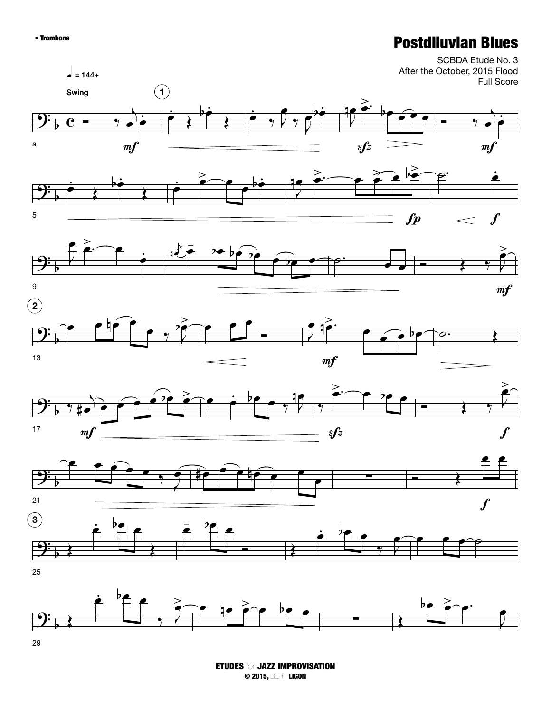## • Trombone **Postdiluvian Blues**



ETUDES for JAZZ IMPROVISATION © 2015, BERT LIGON